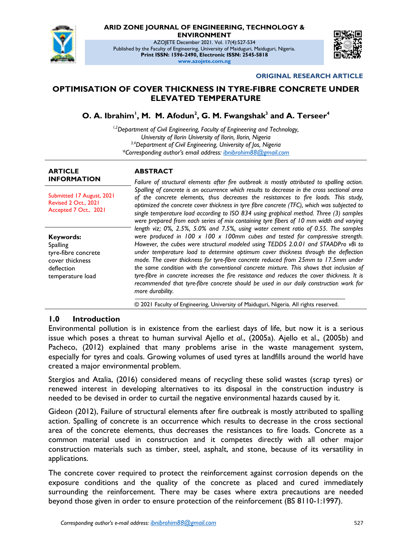

# **ARID ZONE JOURNAL OF ENGINEERING, TECHNOLOGY &**

**ENVIRONMENT**

AZOJETE December 2021. Vol. 17(4):527-534 Published by the Faculty of Engineering, University of Maiduguri, Maiduguri, Nigeria. **Print ISSN: 1596-2490, Electronic ISSN: 2545-5818 www.azojete.com.ng**



#### **ORIGINAL RESEARCH ARTICLE**

## **OPTIMISATION OF COVER THICKNESS IN TYRE-FIBRE CONCRETE UNDER ELEVATED TEMPERATURE**

**O. A. Ibrahim<sup>1</sup> , M. M. Afodun<sup>2</sup> , G. M. Fwangshak<sup>3</sup> and A. Terseer<sup>4</sup>**

*1,2Department of Civil Engineering, Faculty of Engineering and Technology, University of Ilorin University of Ilorin, Ilorin, Nigeria 3,4Department of Civil Engineering, University of Jos, Nigeria \*Corresponding author's email address: ibnibrohim88@gmail.com*

#### **ARTICLE INFORMATION**

## **ABSTRACT**

Submitted 17 August, 2021 Revised 2 Oct., 2021 Accepted 7 Oct., 2021

**Keywords:** Spalling tyre-fibre concrete cover thickness deflection temperature load

*Failure of structural elements after fire outbreak is mostly attributed to spalling action. Spalling of concrete is an occurrence which results to decrease in the cross sectional area of the concrete elements, thus decreases the resistances to fire loads. This study, optimized the concrete cover thickness in tyre fibre concrete (TFC), which was subjected to single temperature load according to ISO 834 using graphical method. Three (3) samples were prepared from each series of mix containing tyre fibers of 10 mm width and varying length viz; 0%, 2.5%, 5.0% and 7.5%, using water cement ratio of 0.55. The samples were produced in 100 x 100 x 100mm cubes and tested for compressive strength. However, the cubes were structural modeled using TEDDS 2.0.01 and STAADPro v8i to under temperature load to determine optimum cover thickness through the deflection mode. The cover thickness for tyre-fibre concrete reduced from 25mm to 17.5mm under the same condition with the conventional concrete mixture. This shows that inclusion of tyre-fibre in concrete increases the fire resistance and reduces the cover thickness. It is recommended that tyre-fibre concrete should be used in our daily construction work for more durability.*

© 2021 Faculty of Engineering, University of Maiduguri, Nigeria. All rights reserved.

### **1.0 Introduction**

Environmental pollution is in existence from the earliest days of life, but now it is a serious issue which poses a threat to human survival Ajello *et al*., (2005a). Ajello et al., (2005b) and Pacheco, (2012) explained that many problems arise in the waste management system, especially for tyres and coals. Growing volumes of used tyres at landfills around the world have created a major environmental problem.

Stergios and Atalia, (2016) considered means of recycling these solid wastes (scrap tyres) or renewed interest in developing alternatives to its disposal in the construction industry is needed to be devised in order to curtail the negative environmental hazards caused by it.

Gideon (2012), Failure of structural elements after fire outbreak is mostly attributed to spalling action. Spalling of concrete is an occurrence which results to decrease in the cross sectional area of the concrete elements, thus decreases the resistances to fire loads. Concrete as a common material used in construction and it competes directly with all other major construction materials such as timber, steel, asphalt, and stone, because of its versatility in applications.

The concrete cover required to protect the reinforcement against corrosion depends on the exposure conditions and the quality of the concrete as placed and cured immediately surrounding the reinforcement. There may be cases where extra precautions are needed beyond those given in order to ensure protection of the reinforcement (BS 8110-1:1997).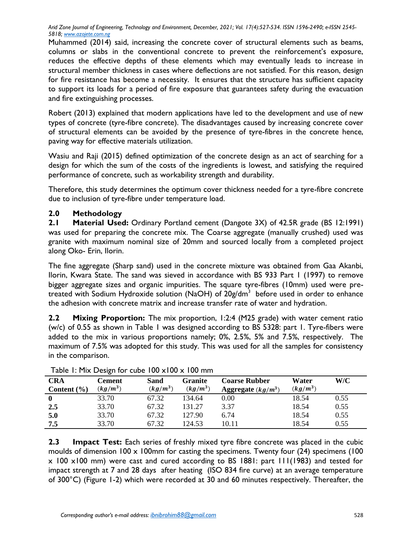Muhammed (2014) said, increasing the concrete cover of structural elements such as beams, columns or slabs in the conventional concrete to prevent the reinforcement's exposure, reduces the effective depths of these elements which may eventually leads to increase in structural member thickness in cases where deflections are not satisfied. For this reason, design for fire resistance has become a necessity. It ensures that the structure has sufficient capacity to support its loads for a period of fire exposure that guarantees safety during the evacuation and fire extinguishing processes.

Robert (2013) explained that modern applications have led to the development and use of new types of concrete (tyre-fibre concrete). The disadvantages caused by increasing concrete cover of structural elements can be avoided by the presence of tyre-fibres in the concrete hence, paving way for effective materials utilization.

Wasiu and Raji (2015) defined optimization of the concrete design as an act of searching for a design for which the sum of the costs of the ingredients is lowest, and satisfying the required performance of concrete, such as workability strength and durability.

Therefore, this study determines the optimum cover thickness needed for a tyre-fibre concrete due to inclusion of tyre-fibre under temperature load.

## **2.0 Methodology**

**2.1 Material Used:** Ordinary Portland cement (Dangote 3X) of 42.5R grade (BS 12:1991) was used for preparing the concrete mix. The Coarse aggregate (manually crushed) used was granite with maximum nominal size of 20mm and sourced locally from a completed project along Oko- Erin, Ilorin.

The fine aggregate (Sharp sand) used in the concrete mixture was obtained from Gaa Akanbi, Ilorin, Kwara State. The sand was sieved in accordance with BS 933 Part 1 (1997) to remove bigger aggregate sizes and organic impurities. The square tyre-fibres (10mm) used were pretreated with Sodium Hydroxide solution (NaOH) of 20g/dm $^3\,$  before used in order to enhance the adhesion with concrete matrix and increase transfer rate of water and hydration.

**2.2 Mixing Proportion:** The mix proportion, 1:2:4 (M25 grade) with water cement ratio (w/c) of 0.55 as shown in Table 1 was designed according to BS 5328: part 1. Tyre-fibers were added to the mix in various proportions namely; 0%, 2.5%, 5% and 7.5%, respectively. The maximum of 7.5% was adopted for this study. This was used for all the samples for consistency in the comparison.

| CRA<br>Content $(\% )$ | Cement<br>$(kg/m^3)$ | Sand<br>$(kg/m^3)$ | <b>Granite</b><br>$(kg/m^3)$ | <b>Coarse Rubber</b><br>Aggregate $(kg/m^3)$ | Water<br>$(kg/m^3)$ | W/C  |
|------------------------|----------------------|--------------------|------------------------------|----------------------------------------------|---------------------|------|
| $\mathbf{0}$           | 33.70                | 67.32              | 134.64                       | 0.00                                         | 18.54               | 0.55 |
| 2.5                    | 33.70                | 67.32              | 131.27                       | 3.37                                         | 18.54               | 0.55 |
| 5.0                    | 33.70                | 67.32              | 127.90                       | 6.74                                         | 18.54               | 0.55 |
| 7.5                    | 33.70                | 67.32              | 124.53                       | 10.11                                        | 18.54               | 0.55 |

Table 1: Mix Design for cube 100 x100 x 100 mm

**2.3 Impact Test:** Each series of freshly mixed tyre fibre concrete was placed in the cubic moulds of dimension  $100 \times 100$ mm for casting the specimens. Twenty four (24) specimens (100 x 100 x100 mm) were cast and cured according to BS 1881: part 111(1983) and tested for impact strength at 7 and 28 days after heating (ISO 834 fire curve) at an average temperature of 300°C) (Figure 1-2) which were recorded at 30 and 60 minutes respectively. Thereafter, the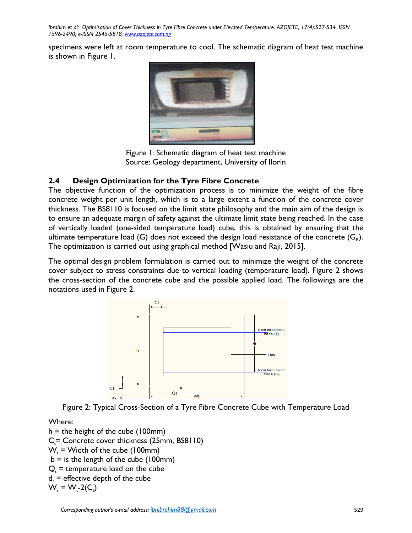*Ibrahim et al: Optimisation of Cover Thickness in Tyre Fibre Concrete under Elevated Temperature. AZOJETE, 17(4):527-534. ISSN 1596-2490; e-ISSN 2545-5818, www.azojete.com.ng*

specimens were left at room temperature to cool. The schematic diagram of heat test machine is shown in Figure 1.



Figure 1: Schematic diagram of heat test machine Source: Geology department, University of Ilorin

# **2.4 Design Optimization for the Tyre Fibre Concrete**

The objective function of the optimization process is to minimize the weight of the fibre concrete weight per unit length, which is to a large extent a function of the concrete cover thickness. The BS8110 is focused on the limit state philosophy and the main aim of the design is to ensure an adequate margin of safety against the ultimate limit state being reached. In the case of vertically loaded (one-sided temperature load) cube, this is obtained by ensuring that the ultimate temperature load (G) does not exceed the design load resistance of the concrete (G<sub>R</sub>). The optimization is carried out using graphical method [Wasiu and Raji, 2015].

The optimal design problem formulation is carried out to minimize the weight of the concrete cover subject to stress constraints due to vertical loading (temperature load). Figure 2 shows the cross-section of the concrete cube and the possible applied load. The followings are the notations used in Figure 2.



Figure 2: Typical Cross-Section of a Tyre Fibre Concrete Cube with Temperature Load

Where:

 $h =$  the height of the cube (100mm)  $C_t$ = Concrete cover thickness (25mm, BS8110)  $W_t$  = Width of the cube (100mm)  $b =$  is the length of the cube (100mm)  $Q_t$  = temperature load on the cube  $d<sub>r</sub>$  = effective depth of the cube  $W_r = W_t - 2(C_t)$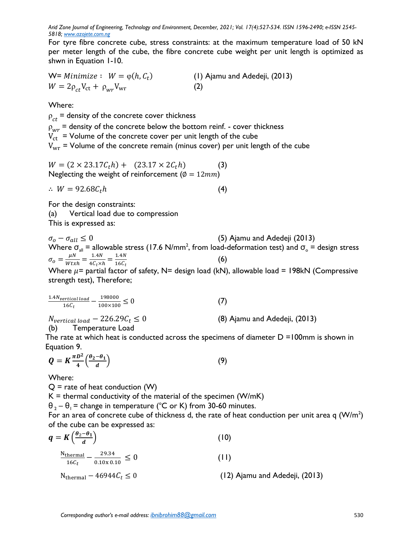For tyre fibre concrete cube, stress constraints: at the maximum temperature load of 50 kN per meter length of the cube, the fibre concrete cube weight per unit length is optimized as shwn in Equation 1-10.

W= Minimize :  $W = \varphi(h, C_t)$  (1) Ajamu and Adedeji, (2013)  $W = 2\rho_{ct}V_{ct} + \rho_{wr}V_{wr}$  (2)

Where:

 $\rho_{ct}$  = density of the concrete cover thickness  $\rho_{\mu\nu}$  = density of the concrete below the bottom reinf. - cover thickness  $V_{\rm ct}$  = Volume of the concrete cover per unit length of the cube  $V_{\text{wr}}$  = Volume of the concrete remain (minus cover) per unit length of the cube

 $W = (2 \times 23.17 C_t h) + (23.17 \times 2C_t h)$  (3) Neglecting the weight of reinforcement ( $\phi = 12mm$ )

$$
\therefore W = 92.68C_t h \tag{4}
$$

For the design constraints:

(a) Vertical load due to compression This is expressed as:

 $\sigma_o - \sigma_{all} \leq 0$  (5) Ajamu and Adedeji (2013) Where  $\sigma_{\hbox{\tiny all}}$  = allowable stress (17.6 N/mm $^2$ , from load-deformation test) and  $\sigma_{\circ}$  = design stress  $\sigma_{o} = \frac{\mu}{\mu_{U}}$  $\frac{\mu N}{W t x h} = \frac{1}{40}$  $\frac{1.4N}{4C_t \times h} = \frac{1}{1}$  $\mathbf{1}$ (6)

Where  $\mu$  = partial factor of safety, N= design load (kN), allowable load = 198kN (Compressive strength test), Therefore;

$$
\frac{1.4N_{vertical\ load}}{16C_t} - \frac{198000}{100 \times 100} \le 0
$$
 (7)

 $N_{vertical\ load} - 226.29C_t \le 0$  (8) Ajamu and Adedeji, (2013)

(b) Temperature Load

The rate at which heat is conducted across the specimens of diameter  $D =100$ mm is shown in Equation 9.

$$
Q = K \frac{\pi D^2}{4} \left( \frac{\theta_2 - \theta_1}{d} \right) \tag{9}
$$

Where:

 $Q$  = rate of heat conduction (W)

 $K =$  thermal conductivity of the material of the specimen (W/mK)

 $\theta_2 - \theta_1$  = change in temperature (°C or K) from 30-60 minutes.

For an area of concrete cube of thickness d, the rate of heat conduction per unit area q (W/m<sup>2</sup>) of the cube can be expressed as:

$$
q = K \left(\frac{\theta_2 - \theta_1}{d}\right)
$$
(10)  

$$
\frac{N_{\text{thermal}}}{16C_t} - \frac{29.34}{0.10 \times 0.10} \le 0
$$
(11)  

$$
N_{\text{thermal}} - 46944C_t \le 0
$$
(12) Ajamu and Adedeji, (2013)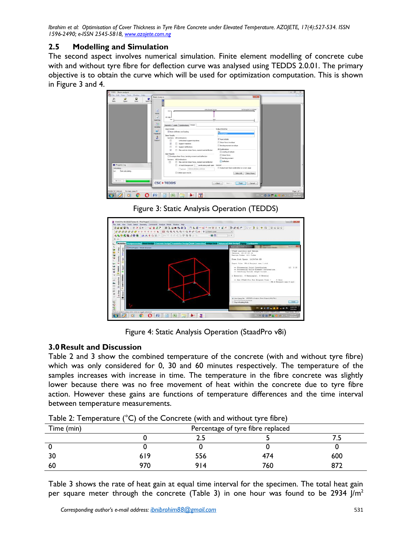*Ibrahim et al: Optimisation of Cover Thickness in Tyre Fibre Concrete under Elevated Temperature. AZOJETE, 17(4):527-534. ISSN 1596-2490; e-ISSN 2545-5818, www.azojete.com.ng*

## **2.5 Modelling and Simulation**

The second aspect involves numerical simulation. Finite element modelling of concrete cube with and without tyre fibre for deflection curve was analysed using TEDDS 2.0.01. The primary objective is to obtain the curve which will be used for optimization computation. This is shown in Figure 3 and 4.



Figure 3: Static Analysis Operation (TEDDS)



Figure 4: Static Analysis Operation (StaadPro v8i)

# **3.0Result and Discussion**

Table 2 and 3 show the combined temperature of the concrete (with and without tyre fibre) which was only considered for 0, 30 and 60 minutes respectively. The temperature of the samples increases with increase in time. The temperature in the fibre concrete was slightly lower because there was no free movement of heat within the concrete due to tyre fibre action. However these gains are functions of temperature differences and the time interval between temperature measurements.

| Table 2. Temperature ( C) or the Concrete (With and Without the nore) |     |                                   |     |     |  |  |  |
|-----------------------------------------------------------------------|-----|-----------------------------------|-----|-----|--|--|--|
| Time (min)                                                            |     | Percentage of tyre fibre replaced |     |     |  |  |  |
|                                                                       |     |                                   |     |     |  |  |  |
|                                                                       |     |                                   |     |     |  |  |  |
| 30                                                                    | 619 | 556                               | 474 | 600 |  |  |  |
| -60                                                                   | 970 | 914                               | 760 | 872 |  |  |  |

Table 2: Temperature (°C) of the Concrete (with and without tyre fibre)

Table 3 shows the rate of heat gain at equal time interval for the specimen. The total heat gain per square meter through the concrete (Table 3) in one hour was found to be 2934 J/m<sup>2</sup>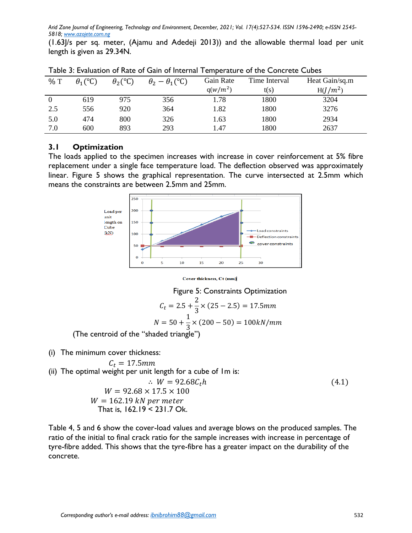(1.63J/s per sq. meter, (Ajamu and Adedeji 2013)) and the allowable thermal load per unit length is given as 29.34N.

| %T  | $\theta_1$ (°C) | $\theta_2$ <sup>(°C</sup> ) | $\theta_2 - \theta_1$ (°C) | Gain Rate<br>$q(w/m^2)$ | Time Interval<br>t(s) | Heat Gain/sq.m<br>$H(J/m^2)$ |
|-----|-----------------|-----------------------------|----------------------------|-------------------------|-----------------------|------------------------------|
|     | 619             | 975                         | 356                        | 1.78                    | 1800                  | 3204                         |
| 2.5 | 556             | 920                         | 364                        | 1.82                    | 1800                  | 3276                         |
| 5.0 | 474             | 800                         | 326                        | 1.63                    | 1800                  | 2934                         |
| 7.0 | 600             | 893                         | 293                        | 1.47                    | 1800                  | 2637                         |

Table 3: Evaluation of Rate of Gain of Internal Temperature of the Concrete Cubes

## **3.1 Optimization**

The loads applied to the specimen increases with increase in cover reinforcement at 5% fibre replacement under a single face temperature load. The deflection observed was approximately linear. Figure 5 shows the graphical representation. The curve intersected at 2.5mm which means the constraints are between 2.5mm and 25mm.



#### Cover thickness, Ct (mm)

Figure 5: Constraints Optimization  
\n
$$
C_t = 2.5 + \frac{2}{3} \times (25 - 2.5) = 17.5 \text{mm}
$$
\n
$$
N = 50 + \frac{1}{3} \times (200 - 50) = 100 \text{kN/mm}
$$
\nand the triangle

(The centroid of the "shaded triangle")

(i) The minimum cover thickness:

 $C_t = 17.5$ mm (ii) The optimal weight per unit length for a cube of 1m is:  $W = 92.68C<sub>t</sub>h$  $(4.1)$  $W = 92.68 \times 17.5 \times 100$  $W = 162.19 kN$  per meter That is, 162.19 < 231.7 Ok.

Table 4, 5 and 6 show the cover-load values and average blows on the produced samples. The ratio of the initial to final crack ratio for the sample increases with increase in percentage of tyre-fibre added. This shows that the tyre-fibre has a greater impact on the durability of the concrete.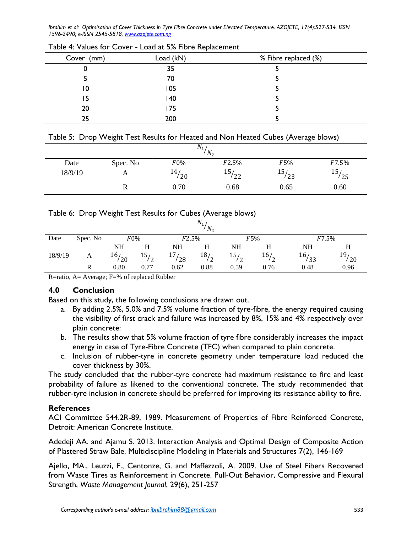*Ibrahim et al: Optimisation of Cover Thickness in Tyre Fibre Concrete under Elevated Temperature. AZOJETE, 17(4):527-534. ISSN 1596-2490; e-ISSN 2545-5818, www.azojete.com.ng*

|               | __        |                      |  |
|---------------|-----------|----------------------|--|
| (mm)<br>Cover | Load (kN) | % Fibre replaced (%) |  |
| U             | 35        |                      |  |
|               | 70        |                      |  |
| 10            | 105       |                      |  |
| 15            | 140       |                      |  |
| 20            | 175       |                      |  |
| 25            | 200       |                      |  |
|               |           |                      |  |

Table 4: Values for Cover - Load at 5% Fibre Replacement

#### Table 5: Drop Weight Test Results for Heated and Non Heated Cubes (Average blows)

| $N_1$<br>$N_2$ |              |            |       |       |       |  |  |  |
|----------------|--------------|------------|-------|-------|-------|--|--|--|
| Date           | Spec. No     | F0%        | F2.5% | F5%   | F7.5% |  |  |  |
| 18/9/19        | $\mathbf{A}$ | 147<br>/20 | 15/22 | 15/23 | 15/25 |  |  |  |
|                | R            | 0.70       | 0.68  | 0.65  | 0.60  |  |  |  |

#### Table 6: Drop Weight Test Results for Cubes (Average blows)

| IV <sub>1</sub><br>$N_2$ |          |            |      |            |      |           |           |       |            |
|--------------------------|----------|------------|------|------------|------|-----------|-----------|-------|------------|
| Date                     | Spec. No |            | F0%  | F2.5%      |      |           | F5%       | F7.5% |            |
|                          |          | <b>NH</b>  | Н    | NH         | Н    | NH        | Н         | NH    | Н          |
| 18/9/19                  | A        | 16/<br>/20 | 15/2 | 17/<br>/28 | 18/2 | 15/<br>/2 | 167<br>′2 | 16/33 | 19/<br>/20 |
|                          | R        | 0.80       | 0.77 | 0.62       | 0.88 | 0.59      | 0.76      | 0.48  | 0.96       |

R=ratio, A= Average; F=% of replaced Rubber

### **4.0 Conclusion**

Based on this study, the following conclusions are drawn out.

- a. By adding 2.5%, 5.0% and 7.5% volume fraction of tyre-fibre, the energy required causing the visibility of first crack and failure was increased by 8%, 15% and 4% respectively over plain concrete:
- b. The results show that 5% volume fraction of tyre fibre considerably increases the impact energy in case of Tyre-Fibre Concrete (TFC) when compared to plain concrete.
- c. Inclusion of rubber-tyre in concrete geometry under temperature load reduced the cover thickness by 30%.

The study concluded that the rubber-tyre concrete had maximum resistance to fire and least probability of failure as likened to the conventional concrete. The study recommended that rubber-tyre inclusion in concrete should be preferred for improving its resistance ability to fire.

### **References**

ACI Committee 544.2R-89, 1989. Measurement of Properties of Fibre Reinforced Concrete, Detroit: American Concrete Institute.

Adedeji AA. and Ajamu S. 2013. Interaction Analysis and Optimal Design of Composite Action of Plastered Straw Bale. Multidiscipline Modeling in Materials and Structures 7(2), 146-169

Ajello, MA., Leuzzi, F., Centonze, G. and Maffezzoli, A. 2009. Use of Steel Fibers Recovered from Waste Tires as Reinforcement in Concrete. Pull-Out Behavior, Compressive and Flexural Strength, *Waste Management Journal*, 29(6), 251-257